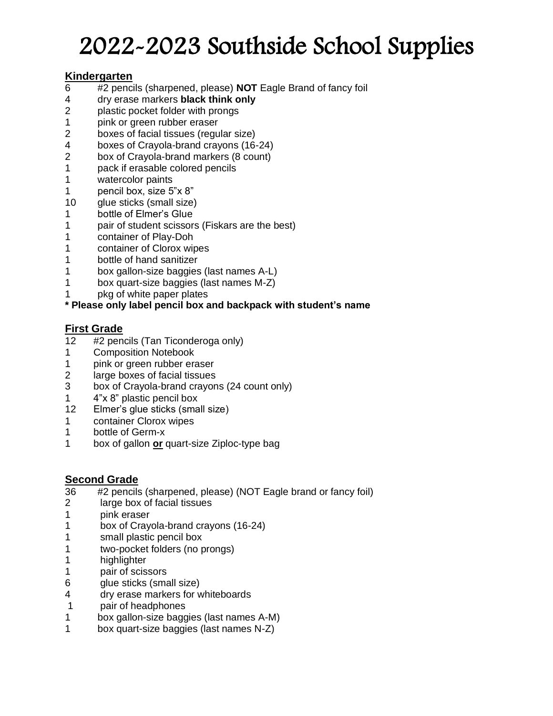# 2022-2023 Southside School Supplies

## **Kindergarten**

- #2 pencils (sharpened, please) **NOT** Eagle Brand of fancy foil
- dry erase markers **black think only**
- 2 plastic pocket folder with prongs
- pink or green rubber eraser
- boxes of facial tissues (regular size)
- boxes of Crayola-brand crayons (16-24)
- box of Crayola-brand markers (8 count)
- pack if erasable colored pencils
- watercolor paints
- pencil box, size 5"x 8"
- glue sticks (small size)
- bottle of Elmer's Glue
- pair of student scissors (Fiskars are the best)
- container of Play-Doh
- container of Clorox wipes
- 1 bottle of hand sanitizer
- box gallon-size baggies (last names A-L)
- box quart-size baggies (last names M-Z)
- pkg of white paper plates

## **\* Please only label pencil box and backpack with student's name**

## **First Grade**

- 12 #2 pencils (Tan Ticonderoga only)
- Composition Notebook
- pink or green rubber eraser
- large boxes of facial tissues
- box of Crayola-brand crayons (24 count only)
- 4"x 8" plastic pencil box
- Elmer's glue sticks (small size)
- container Clorox wipes
- bottle of Germ-x
- box of gallon **or** quart-size Ziploc-type bag

## **Second Grade**

- 36 #2 pencils (sharpened, please) (NOT Eagle brand or fancy foil)
- large box of facial tissues
- pink eraser
- box of Crayola-brand crayons (16-24)
- 1 small plastic pencil box
- two-pocket folders (no prongs)
- 1 highlighter
- pair of scissors
- glue sticks (small size)
- dry erase markers for whiteboards
- pair of headphones
- box gallon-size baggies (last names A-M)
- box quart-size baggies (last names N-Z)